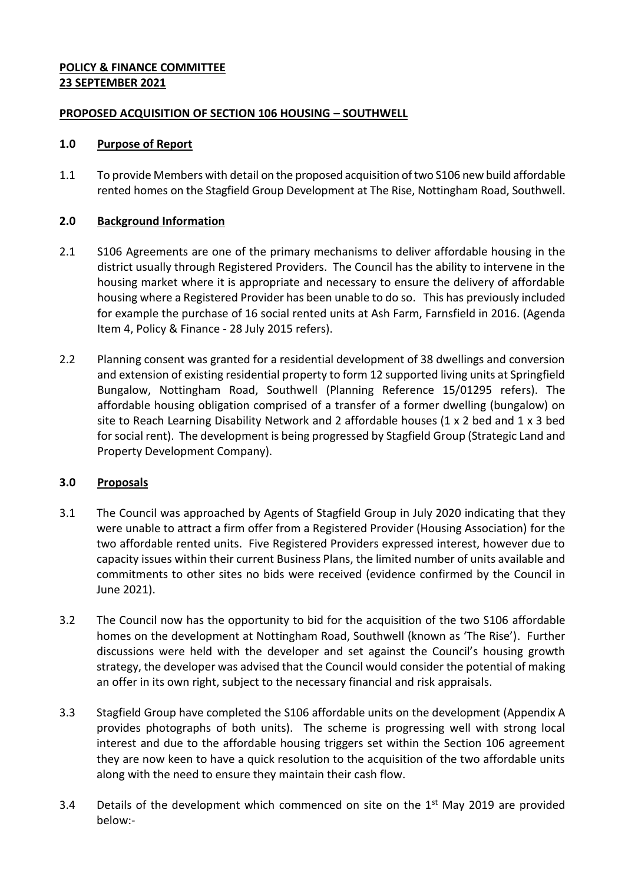#### **POLICY & FINANCE COMMITTEE 23 SEPTEMBER 2021**

#### **PROPOSED ACQUISITION OF SECTION 106 HOUSING – SOUTHWELL**

#### **1.0 Purpose of Report**

1.1 To provide Members with detail on the proposed acquisition of two S106 new build affordable rented homes on the Stagfield Group Development at The Rise, Nottingham Road, Southwell.

#### **2.0 Background Information**

- 2.1 S106 Agreements are one of the primary mechanisms to deliver affordable housing in the district usually through Registered Providers. The Council has the ability to intervene in the housing market where it is appropriate and necessary to ensure the delivery of affordable housing where a Registered Provider has been unable to do so. This has previously included for example the purchase of 16 social rented units at Ash Farm, Farnsfield in 2016. (Agenda Item 4, Policy & Finance - 28 July 2015 refers).
- 2.2 Planning consent was granted for a residential development of 38 dwellings and conversion and extension of existing residential property to form 12 supported living units at Springfield Bungalow, Nottingham Road, Southwell (Planning Reference 15/01295 refers). The affordable housing obligation comprised of a transfer of a former dwelling (bungalow) on site to Reach Learning Disability Network and 2 affordable houses (1 x 2 bed and 1 x 3 bed for social rent). The development is being progressed by Stagfield Group (Strategic Land and Property Development Company).

## **3.0 Proposals**

- 3.1 The Council was approached by Agents of Stagfield Group in July 2020 indicating that they were unable to attract a firm offer from a Registered Provider (Housing Association) for the two affordable rented units. Five Registered Providers expressed interest, however due to capacity issues within their current Business Plans, the limited number of units available and commitments to other sites no bids were received (evidence confirmed by the Council in June 2021).
- 3.2 The Council now has the opportunity to bid for the acquisition of the two S106 affordable homes on the development at Nottingham Road, Southwell (known as 'The Rise'). Further discussions were held with the developer and set against the Council's housing growth strategy, the developer was advised that the Council would consider the potential of making an offer in its own right, subject to the necessary financial and risk appraisals.
- 3.3 Stagfield Group have completed the S106 affordable units on the development (Appendix A provides photographs of both units). The scheme is progressing well with strong local interest and due to the affordable housing triggers set within the Section 106 agreement they are now keen to have a quick resolution to the acquisition of the two affordable units along with the need to ensure they maintain their cash flow.
- 3.4 Details of the development which commenced on site on the  $1<sup>st</sup>$  May 2019 are provided below:-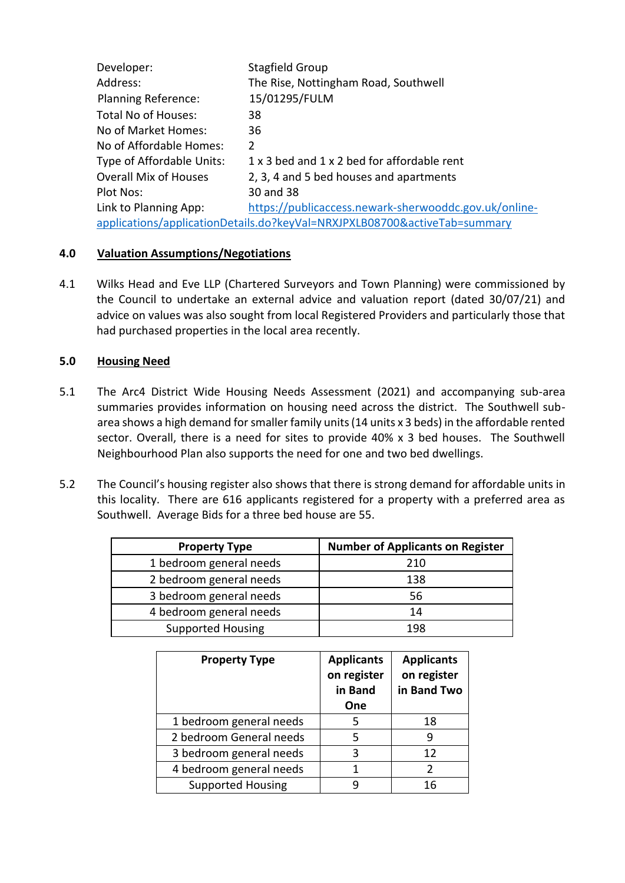| Developer:                                                                | Stagfield Group                                       |  |  |
|---------------------------------------------------------------------------|-------------------------------------------------------|--|--|
| Address:                                                                  | The Rise, Nottingham Road, Southwell                  |  |  |
| <b>Planning Reference:</b>                                                | 15/01295/FULM                                         |  |  |
| <b>Total No of Houses:</b>                                                | 38                                                    |  |  |
| No of Market Homes:                                                       | 36                                                    |  |  |
| No of Affordable Homes:                                                   | 2                                                     |  |  |
| Type of Affordable Units:                                                 | 1 x 3 bed and 1 x 2 bed for affordable rent           |  |  |
| <b>Overall Mix of Houses</b>                                              | 2, 3, 4 and 5 bed houses and apartments               |  |  |
| Plot Nos:                                                                 | 30 and 38                                             |  |  |
| Link to Planning App:                                                     | https://publicaccess.newark-sherwooddc.gov.uk/online- |  |  |
| applications/applicationDetails.do?keyVal=NRXJPXLB08700&activeTab=summary |                                                       |  |  |

## **4.0 Valuation Assumptions/Negotiations**

4.1 Wilks Head and Eve LLP (Chartered Surveyors and Town Planning) were commissioned by the Council to undertake an external advice and valuation report (dated 30/07/21) and advice on values was also sought from local Registered Providers and particularly those that had purchased properties in the local area recently.

## **5.0 Housing Need**

- 5.1 The Arc4 District Wide Housing Needs Assessment (2021) and accompanying sub-area summaries provides information on housing need across the district. The Southwell subarea shows a high demand for smaller family units (14 units x 3 beds) in the affordable rented sector. Overall, there is a need for sites to provide 40% x 3 bed houses. The Southwell Neighbourhood Plan also supports the need for one and two bed dwellings.
- 5.2 The Council's housing register also shows that there is strong demand for affordable units in this locality. There are 616 applicants registered for a property with a preferred area as Southwell. Average Bids for a three bed house are 55.

| <b>Property Type</b>     | <b>Number of Applicants on Register</b> |  |
|--------------------------|-----------------------------------------|--|
| 1 bedroom general needs  | 210                                     |  |
| 2 bedroom general needs  | 138                                     |  |
| 3 bedroom general needs  | 56                                      |  |
| 4 bedroom general needs  | 14                                      |  |
| <b>Supported Housing</b> | 198                                     |  |

| <b>Property Type</b>     | <b>Applicants</b><br>on register<br>in Band<br>One | <b>Applicants</b><br>on register<br>in Band Two |
|--------------------------|----------------------------------------------------|-------------------------------------------------|
| 1 bedroom general needs  | 5                                                  | 18                                              |
| 2 bedroom General needs  | 5                                                  | q                                               |
| 3 bedroom general needs  | ς                                                  | 12                                              |
| 4 bedroom general needs  |                                                    | 2                                               |
| <b>Supported Housing</b> |                                                    | 16                                              |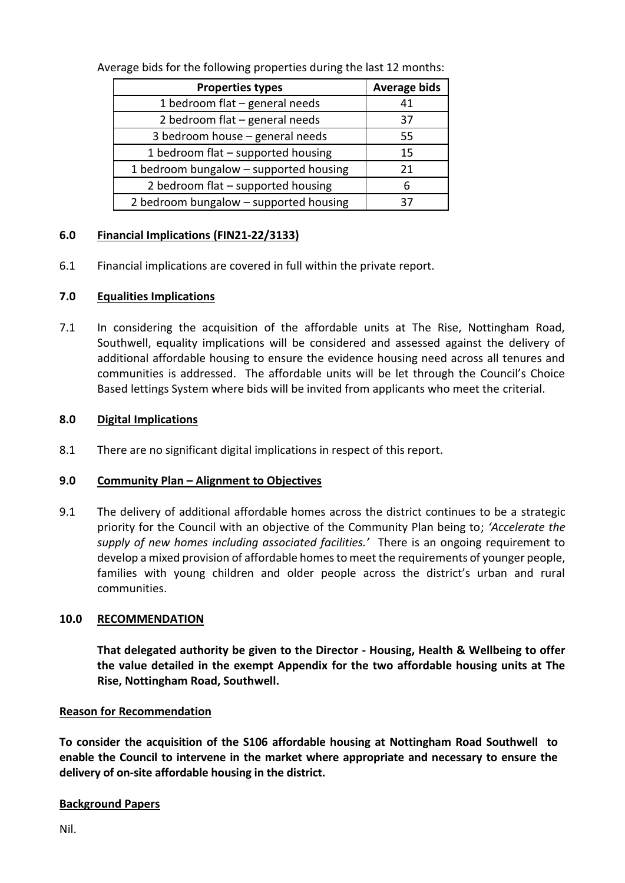Average bids for the following properties during the last 12 months:

| <b>Properties types</b>                | <b>Average bids</b> |
|----------------------------------------|---------------------|
| 1 bedroom flat - general needs         | 41                  |
| 2 bedroom flat - general needs         | 37                  |
| 3 bedroom house - general needs        | 55                  |
| 1 bedroom flat - supported housing     | 15                  |
| 1 bedroom bungalow - supported housing | 21                  |
| 2 bedroom flat - supported housing     | 6                   |
| 2 bedroom bungalow - supported housing | 37                  |

## **6.0 Financial Implications (FIN21-22/3133)**

6.1 Financial implications are covered in full within the private report.

# **7.0 Equalities Implications**

7.1 In considering the acquisition of the affordable units at The Rise, Nottingham Road, Southwell, equality implications will be considered and assessed against the delivery of additional affordable housing to ensure the evidence housing need across all tenures and communities is addressed. The affordable units will be let through the Council's Choice Based lettings System where bids will be invited from applicants who meet the criterial.

# **8.0 Digital Implications**

8.1 There are no significant digital implications in respect of this report.

## **9.0 Community Plan – Alignment to Objectives**

9.1 The delivery of additional affordable homes across the district continues to be a strategic priority for the Council with an objective of the Community Plan being to; *'Accelerate the supply of new homes including associated facilities.'* There is an ongoing requirement to develop a mixed provision of affordable homes to meet the requirements of younger people, families with young children and older people across the district's urban and rural communities.

## **10.0 RECOMMENDATION**

**That delegated authority be given to the Director - Housing, Health & Wellbeing to offer the value detailed in the exempt Appendix for the two affordable housing units at The Rise, Nottingham Road, Southwell.**

## **Reason for Recommendation**

**To consider the acquisition of the S106 affordable housing at Nottingham Road Southwell to enable the Council to intervene in the market where appropriate and necessary to ensure the delivery of on-site affordable housing in the district.**

## **Background Papers**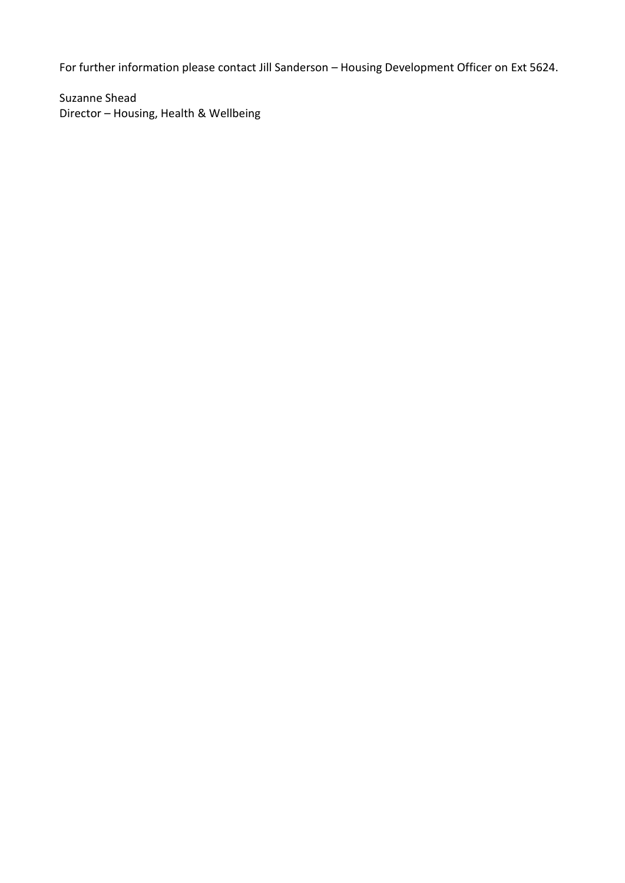For further information please contact Jill Sanderson – Housing Development Officer on Ext 5624.

Suzanne Shead Director – Housing, Health & Wellbeing